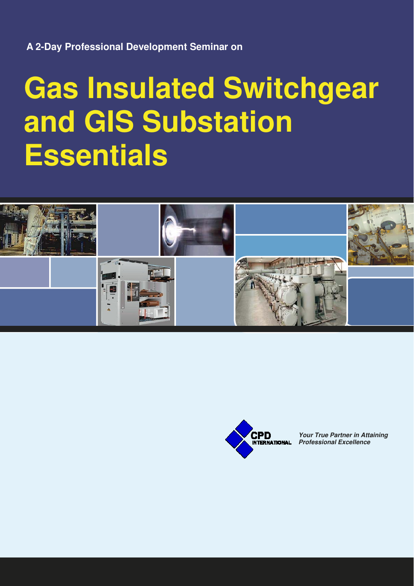**A 2-Day Professional Development Seminar on** 

# **Gas Insulated Switchgear and GIS Substation Essentials**





**Your True Partner in Attaining Professional Excellence**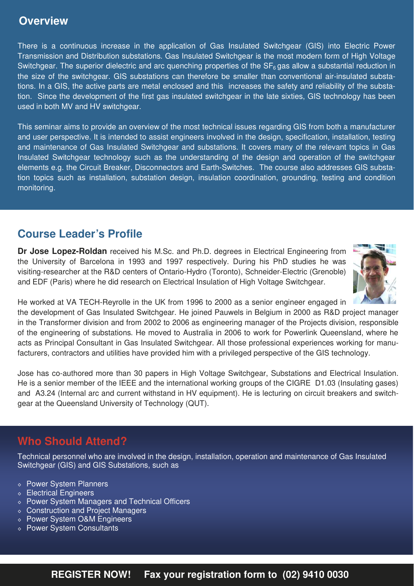## **Overview**

There is a continuous increase in the application of Gas Insulated Switchgear (GIS) into Electric Power Transmission and Distribution substations. Gas Insulated Switchgear is the most modern form of High Voltage Switchgear. The superior dielectric and arc quenching properties of the  $SF<sub>6</sub>$  gas allow a substantial reduction in the size of the switchgear. GIS substations can therefore be smaller than conventional air-insulated substations. In a GIS, the active parts are metal enclosed and this increases the safety and reliability of the substation. Since the development of the first gas insulated switchgear in the late sixties, GIS technology has been used in both MV and HV switchgear.

This seminar aims to provide an overview of the most technical issues regarding GIS from both a manufacturer and user perspective. It is intended to assist engineers involved in the design, specification, installation, testing and maintenance of Gas Insulated Switchgear and substations. It covers many of the relevant topics in Gas Insulated Switchgear technology such as the understanding of the design and operation of the switchgear elements e.g. the Circuit Breaker, Disconnectors and Earth-Switches. The course also addresses GIS substation topics such as installation, substation design, insulation coordination, grounding, testing and condition monitoring.

# **Course Leader's Profile**

**Dr Jose Lopez-Roldan** received his M.Sc. and Ph.D. degrees in Electrical Engineering from the University of Barcelona in 1993 and 1997 respectively. During his PhD studies he was visiting-researcher at the R&D centers of Ontario-Hydro (Toronto), Schneider-Electric (Grenoble) and EDF (Paris) where he did research on Electrical Insulation of High Voltage Switchgear.



He worked at VA TECH-Reyrolle in the UK from 1996 to 2000 as a senior engineer engaged in

the development of Gas Insulated Switchgear. He joined Pauwels in Belgium in 2000 as R&D project manager in the Transformer division and from 2002 to 2006 as engineering manager of the Projects division, responsible of the engineering of substations. He moved to Australia in 2006 to work for Powerlink Queensland, where he acts as Principal Consultant in Gas Insulated Switchgear. All those professional experiences working for manufacturers, contractors and utilities have provided him with a privileged perspective of the GIS technology.

Jose has co-authored more than 30 papers in High Voltage Switchgear, Substations and Electrical Insulation. He is a senior member of the IEEE and the international working groups of the CIGRE D1.03 (Insulating gases) and A3.24 (Internal arc and current withstand in HV equipment). He is lecturing on circuit breakers and switchgear at the Queensland University of Technology (QUT).

# **Who Should Attend?**

Technical personnel who are involved in the design, installation, operation and maintenance of Gas Insulated Switchgear (GIS) and GIS Substations, such as

- ◊ Power System Planners
- ◊ Electrical Engineers
- ◊ Power System Managers and Technical Officers
- ◊ Construction and Project Managers
- ◊ Power System O&M Engineers
- ◊ Power System Consultants